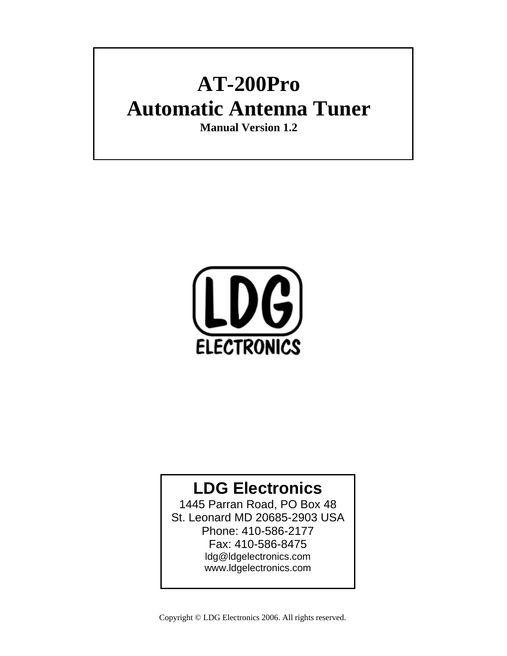## **AT-200Pro Automatic Antenna Tuner**

**Manual Version 1.2**



### **LDG Electronics**

1445 Parran Road, PO Box 48 St. Leonard MD 20685-2903 USA Phone: 410-586-2177 Fax: 410-586-8475 ldg@ldgelectronics.com www.ldgelectronics.com

Copyright © LDG Electronics 2006. All rights reserved.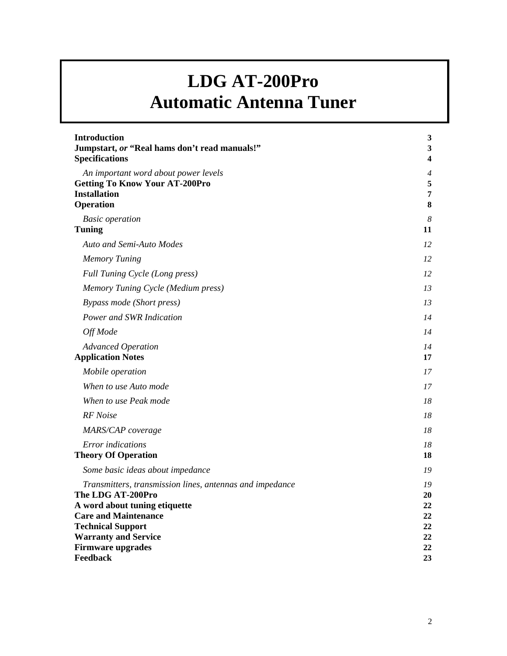## **LDG AT-200Pro Automatic Antenna Tuner**

| <b>Introduction</b><br>Jumpstart, or "Real hams don't read manuals!"                                                                                                                                                                             | $\mathbf{3}$<br>$\mathbf{3}$                 |
|--------------------------------------------------------------------------------------------------------------------------------------------------------------------------------------------------------------------------------------------------|----------------------------------------------|
| <b>Specifications</b>                                                                                                                                                                                                                            | 4                                            |
| An important word about power levels<br><b>Getting To Know Your AT-200Pro</b><br><b>Installation</b><br>Operation                                                                                                                                | 4<br>5<br>7<br>$\bf{8}$                      |
| <b>Basic</b> operation<br><b>Tuning</b>                                                                                                                                                                                                          | $\boldsymbol{8}$<br>11                       |
| Auto and Semi-Auto Modes                                                                                                                                                                                                                         | 12                                           |
| <b>Memory Tuning</b>                                                                                                                                                                                                                             | 12                                           |
| Full Tuning Cycle (Long press)                                                                                                                                                                                                                   | 12                                           |
| Memory Tuning Cycle (Medium press)                                                                                                                                                                                                               | 13                                           |
| <b>Bypass mode (Short press)</b>                                                                                                                                                                                                                 | 13                                           |
| Power and SWR Indication                                                                                                                                                                                                                         | 14                                           |
| Off Mode                                                                                                                                                                                                                                         | 14                                           |
| <b>Advanced Operation</b><br><b>Application Notes</b>                                                                                                                                                                                            | 14<br>17                                     |
| Mobile operation                                                                                                                                                                                                                                 | 17                                           |
| When to use Auto mode                                                                                                                                                                                                                            | 17                                           |
| When to use Peak mode                                                                                                                                                                                                                            | 18                                           |
| RF Noise                                                                                                                                                                                                                                         | 18                                           |
| MARS/CAP coverage                                                                                                                                                                                                                                | 18                                           |
| <b>Error</b> indications<br><b>Theory Of Operation</b>                                                                                                                                                                                           | 18<br>18                                     |
| Some basic ideas about impedance                                                                                                                                                                                                                 | 19                                           |
| Transmitters, transmission lines, antennas and impedance<br>The LDG AT-200Pro<br>A word about tuning etiquette<br><b>Care and Maintenance</b><br><b>Technical Support</b><br><b>Warranty and Service</b><br><b>Firmware upgrades</b><br>Feedback | 19<br>20<br>22<br>22<br>22<br>22<br>22<br>23 |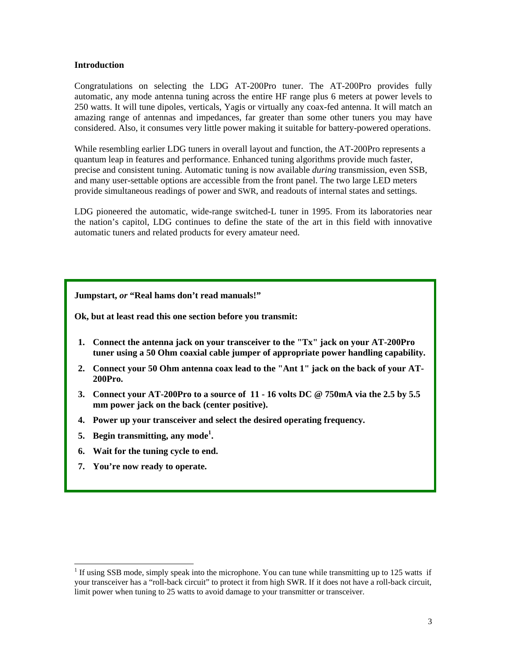#### **Introduction**

Congratulations on selecting the LDG AT-200Pro tuner. The AT-200Pro provides fully automatic, any mode antenna tuning across the entire HF range plus 6 meters at power levels to 250 watts. It will tune dipoles, verticals, Yagis or virtually any coax-fed antenna. It will match an amazing range of antennas and impedances, far greater than some other tuners you may have considered. Also, it consumes very little power making it suitable for battery-powered operations.

While resembling earlier LDG tuners in overall layout and function, the AT-200Pro represents a quantum leap in features and performance. Enhanced tuning algorithms provide much faster, precise and consistent tuning. Automatic tuning is now available *during* transmission, even SSB, and many user-settable options are accessible from the front panel. The two large LED meters provide simultaneous readings of power and SWR, and readouts of internal states and settings.

LDG pioneered the automatic, wide-range switched-L tuner in 1995. From its laboratories near the nation's capitol, LDG continues to define the state of the art in this field with innovative automatic tuners and related products for every amateur need.

#### **Jumpstart,** *or* **"Real hams don't read manuals!"**

**Ok, but at least read this one section before you transmit:** 

- **1. Connect the antenna jack on your transceiver to the "Tx" jack on your AT-200Pro tuner using a 50 Ohm coaxial cable jumper of appropriate power handling capability.**
- **2. Connect your 50 Ohm antenna coax lead to the "Ant 1" jack on the back of your AT-200Pro.**
- **3. Connect your AT-200Pro to a source of 11 16 volts DC @ 750mA via the 2.5 by 5.5 mm power jack on the back (center positive).**
- **4. Power up your transceiver and select the desired operating frequency.**
- **5. Begin transmitting, any mode<sup>1</sup> .**
- **6. Wait for the tuning cycle to end.**
- **7. You're now ready to operate.**

l

<sup>&</sup>lt;sup>1</sup> If using SSB mode, simply speak into the microphone. You can tune while transmitting up to 125 watts if your transceiver has a "roll-back circuit" to protect it from high SWR. If it does not have a roll-back circuit, limit power when tuning to 25 watts to avoid damage to your transmitter or transceiver.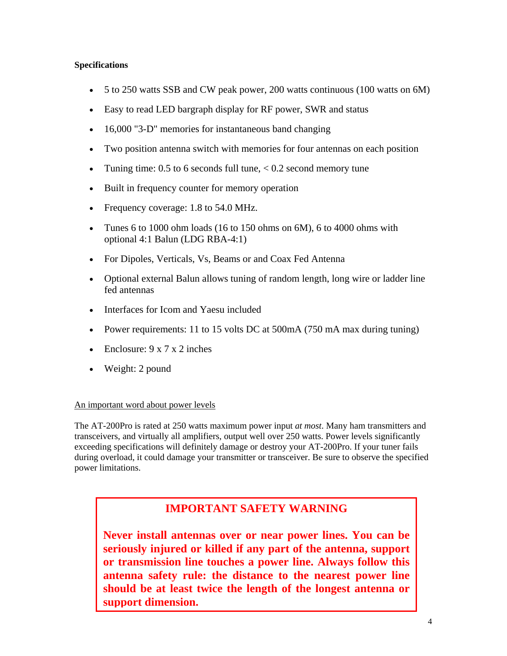#### **Specifications**

- 5 to 250 watts SSB and CW peak power, 200 watts continuous (100 watts on 6M)
- Easy to read LED bargraph display for RF power, SWR and status
- 16,000 "3-D" memories for instantaneous band changing
- Two position antenna switch with memories for four antennas on each position
- Tuning time:  $0.5$  to 6 seconds full tune,  $< 0.2$  second memory tune
- Built in frequency counter for memory operation
- Frequency coverage: 1.8 to 54.0 MHz.
- Tunes 6 to 1000 ohm loads (16 to 150 ohms on  $6M$ ), 6 to 4000 ohms with optional 4:1 Balun (LDG RBA-4:1)
- For Dipoles, Verticals, Vs, Beams or and Coax Fed Antenna
- Optional external Balun allows tuning of random length, long wire or ladder line fed antennas
- Interfaces for Icom and Yaesu included
- Power requirements: 11 to 15 volts DC at 500mA (750 mA max during tuning)
- Enclosure:  $9 \times 7 \times 2$  inches
- Weight: 2 pound

#### An important word about power levels

The AT-200Pro is rated at 250 watts maximum power input *at most*. Many ham transmitters and transceivers, and virtually all amplifiers, output well over 250 watts. Power levels significantly exceeding specifications will definitely damage or destroy your AT-200Pro. If your tuner fails during overload, it could damage your transmitter or transceiver. Be sure to observe the specified power limitations.

#### **IMPORTANT SAFETY WARNING**

**Never install antennas over or near power lines. You can be seriously injured or killed if any part of the antenna, support or transmission line touches a power line. Always follow this antenna safety rule: the distance to the nearest power line should be at least twice the length of the longest antenna or support dimension.**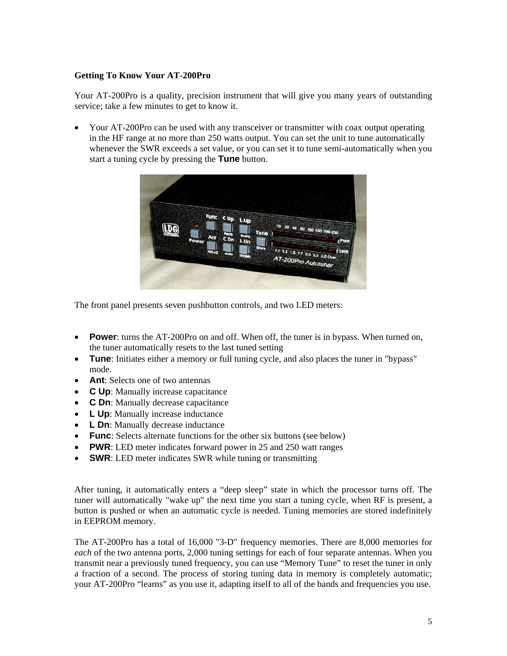#### **Getting To Know Your AT-200Pro**

Your AT-200Pro is a quality, precision instrument that will give you many years of outstanding service; take a few minutes to get to know it.

• Your AT-200Pro can be used with any transceiver or transmitter with coax output operating in the HF range at no more than 250 watts output. You can set the unit to tune automatically whenever the SWR exceeds a set value, or you can set it to tune semi-automatically when you start a tuning cycle by pressing the **Tune** button.



The front panel presents seven pushbutton controls, and two LED meters:

- **Power**: turns the AT-200Pro on and off. When off, the tuner is in bypass. When turned on, the tuner automatically resets to the last tuned setting
- **Tune**: Initiates either a memory or full tuning cycle, and also places the tuner in "bypass" mode.
- **Ant**: Selects one of two antennas
- **C Up**: Manually increase capacitance
- **C Dn**: Manually decrease capacitance
- **L Up**: Manually increase inductance
- **L Dn**: Manually decrease inductance
- **Func**: Selects alternate functions for the other six buttons (see below)
- **PWR**: LED meter indicates forward power in 25 and 250 watt ranges
- **SWR**: LED meter indicates SWR while tuning or transmitting

After tuning, it automatically enters a "deep sleep" state in which the processor turns off. The tuner will automatically "wake up" the next time you start a tuning cycle, when RF is present, a button is pushed or when an automatic cycle is needed. Tuning memories are stored indefinitely in EEPROM memory.

The AT-200Pro has a total of 16,000 "3-D" frequency memories. There are 8,000 memories for *each* of the two antenna ports, 2,000 tuning settings for each of four separate antennas. When you transmit near a previously tuned frequency, you can use "Memory Tune" to reset the tuner in only a fraction of a second. The process of storing tuning data in memory is completely automatic; your AT-200Pro "learns" as you use it, adapting itself to all of the bands and frequencies you use.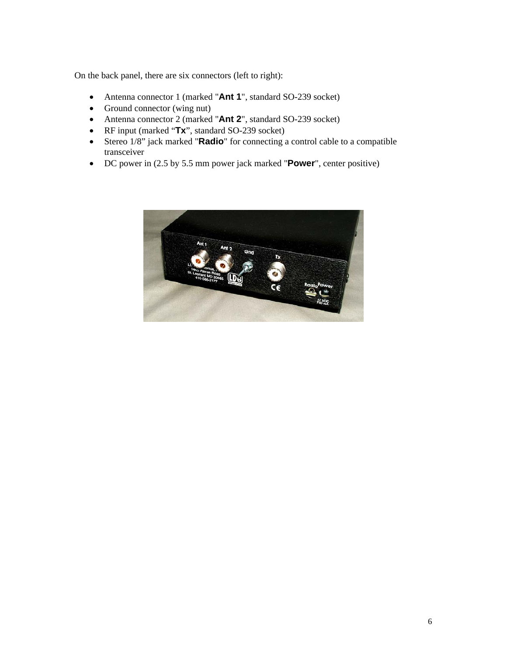On the back panel, there are six connectors (left to right):

- Antenna connector 1 (marked "**Ant 1**", standard SO-239 socket)
- Ground connector (wing nut)
- Antenna connector 2 (marked "**Ant 2**", standard SO-239 socket)
- RF input (marked "**Tx**", standard SO-239 socket)
- Stereo 1/8" jack marked "**Radio**" for connecting a control cable to a compatible transceiver
- DC power in (2.5 by 5.5 mm power jack marked "**Power**", center positive)

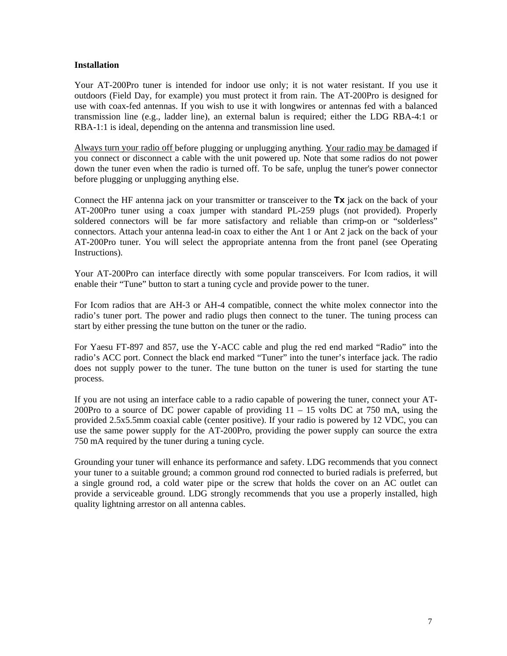#### **Installation**

Your AT-200Pro tuner is intended for indoor use only; it is not water resistant. If you use it outdoors (Field Day, for example) you must protect it from rain. The AT-200Pro is designed for use with coax-fed antennas. If you wish to use it with longwires or antennas fed with a balanced transmission line (e.g., ladder line), an external balun is required; either the LDG RBA-4:1 or RBA-1:1 is ideal, depending on the antenna and transmission line used.

Always turn your radio off before plugging or unplugging anything. Your radio may be damaged if you connect or disconnect a cable with the unit powered up. Note that some radios do not power down the tuner even when the radio is turned off. To be safe, unplug the tuner's power connector before plugging or unplugging anything else.

Connect the HF antenna jack on your transmitter or transceiver to the **Tx** jack on the back of your AT-200Pro tuner using a coax jumper with standard PL-259 plugs (not provided). Properly soldered connectors will be far more satisfactory and reliable than crimp-on or "solderless" connectors. Attach your antenna lead-in coax to either the Ant 1 or Ant 2 jack on the back of your AT-200Pro tuner. You will select the appropriate antenna from the front panel (see Operating Instructions).

Your AT-200Pro can interface directly with some popular transceivers. For Icom radios, it will enable their "Tune" button to start a tuning cycle and provide power to the tuner.

For Icom radios that are AH-3 or AH-4 compatible, connect the white molex connector into the radio's tuner port. The power and radio plugs then connect to the tuner. The tuning process can start by either pressing the tune button on the tuner or the radio.

For Yaesu FT-897 and 857, use the Y-ACC cable and plug the red end marked "Radio" into the radio's ACC port. Connect the black end marked "Tuner" into the tuner's interface jack. The radio does not supply power to the tuner. The tune button on the tuner is used for starting the tune process.

If you are not using an interface cable to a radio capable of powering the tuner, connect your AT-200Pro to a source of DC power capable of providing  $11 - 15$  volts DC at 750 mA, using the provided 2.5x5.5mm coaxial cable (center positive). If your radio is powered by 12 VDC, you can use the same power supply for the AT-200Pro, providing the power supply can source the extra 750 mA required by the tuner during a tuning cycle.

Grounding your tuner will enhance its performance and safety. LDG recommends that you connect your tuner to a suitable ground; a common ground rod connected to buried radials is preferred, but a single ground rod, a cold water pipe or the screw that holds the cover on an AC outlet can provide a serviceable ground. LDG strongly recommends that you use a properly installed, high quality lightning arrestor on all antenna cables.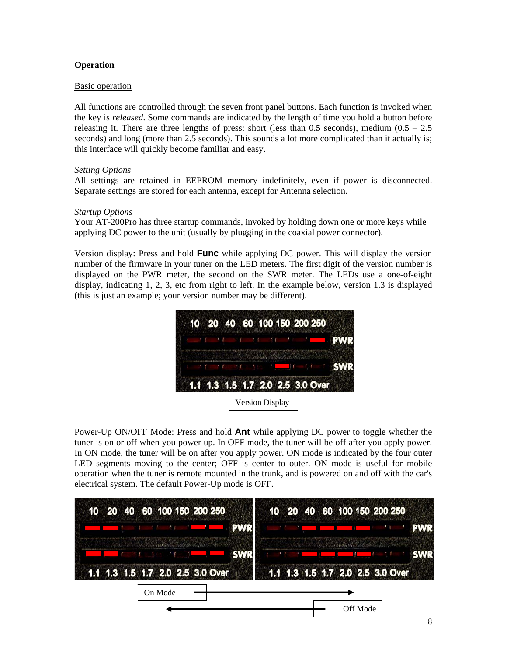#### **Operation**

#### Basic operation

All functions are controlled through the seven front panel buttons. Each function is invoked when the key is *released*. Some commands are indicated by the length of time you hold a button before releasing it. There are three lengths of press: short (less than 0.5 seconds), medium  $(0.5 - 2.5)$ seconds) and long (more than 2.5 seconds). This sounds a lot more complicated than it actually is; this interface will quickly become familiar and easy.

#### *Setting Options*

All settings are retained in EEPROM memory indefinitely, even if power is disconnected. Separate settings are stored for each antenna, except for Antenna selection.

#### *Startup Options*

Your AT-200Pro has three startup commands, invoked by holding down one or more keys while applying DC power to the unit (usually by plugging in the coaxial power connector).

Version display: Press and hold **Func** while applying DC power. This will display the version number of the firmware in your tuner on the LED meters. The first digit of the version number is displayed on the PWR meter, the second on the SWR meter. The LEDs use a one-of-eight display, indicating 1, 2, 3, etc from right to left. In the example below, version 1.3 is displayed (this is just an example; your version number may be different).



Power-Up ON/OFF Mode: Press and hold **Ant** while applying DC power to toggle whether the tuner is on or off when you power up. In OFF mode, the tuner will be off after you apply power. In ON mode, the tuner will be on after you apply power. ON mode is indicated by the four outer LED segments moving to the center; OFF is center to outer. ON mode is useful for mobile operation when the tuner is remote mounted in the trunk, and is powered on and off with the car's electrical system. The default Power-Up mode is OFF.

| 10 20 40 60 100 150 200 250                          | 10 20 40 60 100 150 200 250      |
|------------------------------------------------------|----------------------------------|
| <b>PWR</b>                                           |                                  |
| A De Washington of the Association of the Contractor |                                  |
| 1.1 1.3 1.5 1.7 2.0 2.5 3.0 Over                     | 1.1 1.3 1.5 1.7 2.0 2.5 3.0 Over |
| On Mode                                              |                                  |
|                                                      | Off Mode                         |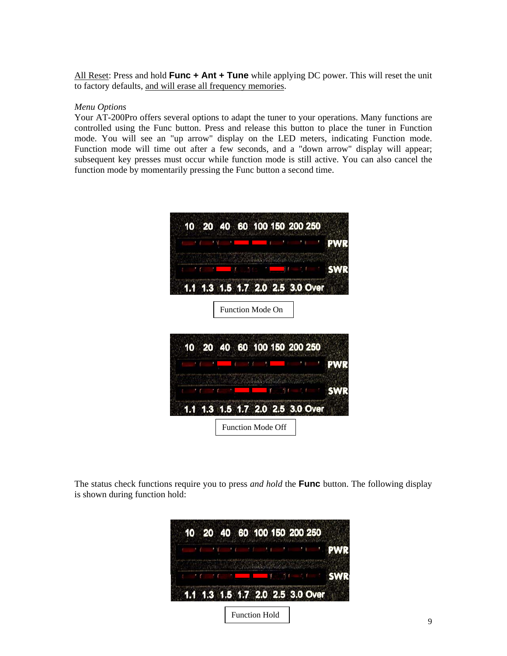All Reset: Press and hold **Func + Ant + Tune** while applying DC power. This will reset the unit to factory defaults, and will erase all frequency memories.

#### *Menu Options*

Your AT-200Pro offers several options to adapt the tuner to your operations. Many functions are controlled using the Func button. Press and release this button to place the tuner in Function mode. You will see an "up arrow" display on the LED meters, indicating Function mode. Function mode will time out after a few seconds, and a "down arrow" display will appear; subsequent key presses must occur while function mode is still active. You can also cancel the function mode by momentarily pressing the Func button a second time.



The status check functions require you to press *and hold* the **Func** button. The following display is shown during function hold:

|  |  |  | 1.1 1.3 1.5 1.7 2.0 2.5 3.0 Over |  |  |  |  |
|--|--|--|----------------------------------|--|--|--|--|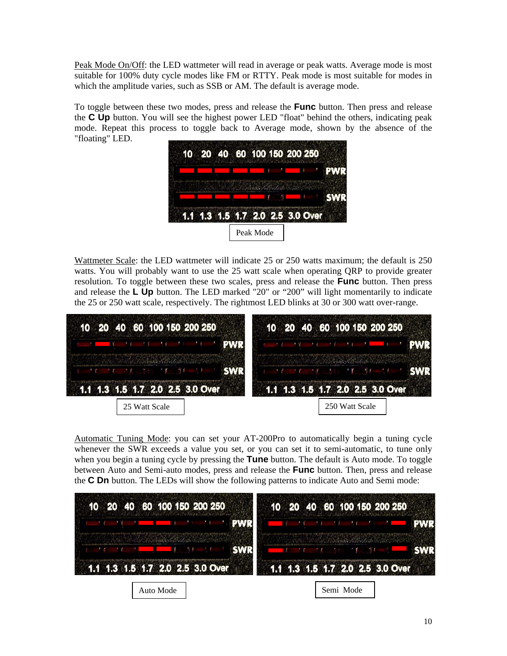Peak Mode On/Off: the LED wattmeter will read in average or peak watts. Average mode is most suitable for 100% duty cycle modes like FM or RTTY. Peak mode is most suitable for modes in which the amplitude varies, such as SSB or AM. The default is average mode.

To toggle between these two modes, press and release the **Func** button. Then press and release the **C Up** button. You will see the highest power LED "float" behind the others, indicating peak mode. Repeat this process to toggle back to Average mode, shown by the absence of the "floating" LED.

|  | 1.1 1.3 1.5 1.7 2.0 2.5 3.0 Over |
|--|----------------------------------|

Wattmeter Scale: the LED wattmeter will indicate 25 or 250 watts maximum; the default is 250 watts. You will probably want to use the 25 watt scale when operating QRP to provide greater resolution. To toggle between these two scales, press and release the **Func** button. Then press and release the **L Up** button. The LED marked "20" or "200" will light momentarily to indicate the 25 or 250 watt scale, respectively. The rightmost LED blinks at 30 or 300 watt over-range.



Automatic Tuning Mode: you can set your AT-200Pro to automatically begin a tuning cycle whenever the SWR exceeds a value you set, or you can set it to semi-automatic, to tune only when you begin a tuning cycle by pressing the **Tune** button. The default is Auto mode. To toggle between Auto and Semi-auto modes, press and release the **Func** button. Then, press and release the **C Dn** button. The LEDs will show the following patterns to indicate Auto and Semi mode:

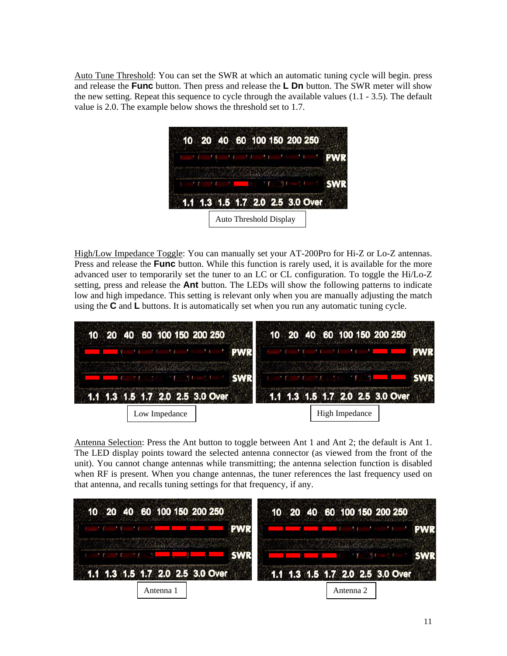Auto Tune Threshold: You can set the SWR at which an automatic tuning cycle will begin. press and release the **Func** button. Then press and release the **L Dn** button. The SWR meter will show the new setting. Repeat this sequence to cycle through the available values (1.1 - 3.5). The default value is 2.0. The example below shows the threshold set to 1.7.

| 10 20 40 60 100 150 200 250      |  |  |  |  |  |  |  |  |
|----------------------------------|--|--|--|--|--|--|--|--|
|                                  |  |  |  |  |  |  |  |  |
|                                  |  |  |  |  |  |  |  |  |
|                                  |  |  |  |  |  |  |  |  |
| 1.1 1.3 1.5 1.7 2.0 2.5 3.0 Over |  |  |  |  |  |  |  |  |

High/Low Impedance Toggle: You can manually set your AT-200Pro for Hi-Z or Lo-Z antennas. Press and release the **Func** button. While this function is rarely used, it is available for the more advanced user to temporarily set the tuner to an LC or CL configuration. To toggle the Hi/Lo-Z setting, press and release the **Ant** button. The LEDs will show the following patterns to indicate low and high impedance. This setting is relevant only when you are manually adjusting the match using the **C** and **L** buttons. It is automatically set when you run any automatic tuning cycle.

| The Party of the Second Contract of the Contract of the Contract of the Contract of the Contract of the Contract of | <b>The Communication of the Communication</b> |
|---------------------------------------------------------------------------------------------------------------------|-----------------------------------------------|
| 1.1 1.3 1.5 1.7 2.0 2.5 3.0 Over                                                                                    | 1.1 1.3 1.5 1.7 2.0 2.5 3.0 Over              |

Antenna Selection: Press the Ant button to toggle between Ant 1 and Ant 2; the default is Ant 1. The LED display points toward the selected antenna connector (as viewed from the front of the unit). You cannot change antennas while transmitting; the antenna selection function is disabled when RF is present. When you change antennas, the tuner references the last frequency used on that antenna, and recalls tuning settings for that frequency, if any.

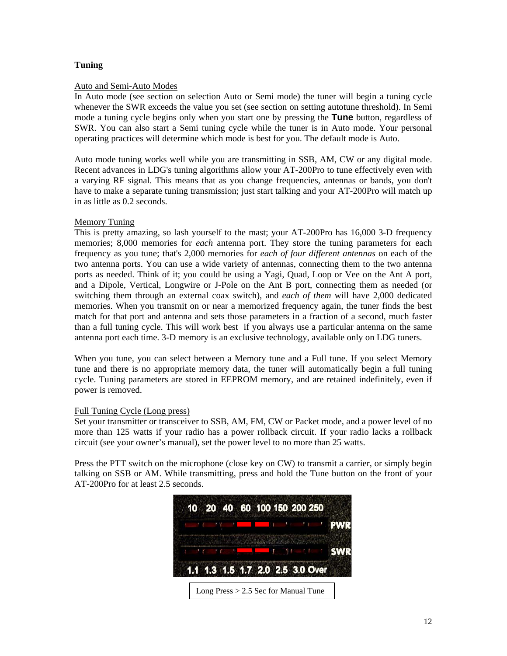#### **Tuning**

#### Auto and Semi-Auto Modes

In Auto mode (see section on selection Auto or Semi mode) the tuner will begin a tuning cycle whenever the SWR exceeds the value you set (see section on setting autotune threshold). In Semi mode a tuning cycle begins only when you start one by pressing the **Tune** button, regardless of SWR. You can also start a Semi tuning cycle while the tuner is in Auto mode. Your personal operating practices will determine which mode is best for you. The default mode is Auto.

Auto mode tuning works well while you are transmitting in SSB, AM, CW or any digital mode. Recent advances in LDG's tuning algorithms allow your AT-200Pro to tune effectively even with a varying RF signal. This means that as you change frequencies, antennas or bands, you don't have to make a separate tuning transmission; just start talking and your AT-200Pro will match up in as little as 0.2 seconds.

#### Memory Tuning

This is pretty amazing, so lash yourself to the mast; your AT-200Pro has 16,000 3-D frequency memories; 8,000 memories for *each* antenna port. They store the tuning parameters for each frequency as you tune; that's 2,000 memories for *each of four different antennas* on each of the two antenna ports. You can use a wide variety of antennas, connecting them to the two antenna ports as needed. Think of it; you could be using a Yagi, Quad, Loop or Vee on the Ant A port, and a Dipole, Vertical, Longwire or J-Pole on the Ant B port, connecting them as needed (or switching them through an external coax switch), and *each of them* will have 2,000 dedicated memories. When you transmit on or near a memorized frequency again, the tuner finds the best match for that port and antenna and sets those parameters in a fraction of a second, much faster than a full tuning cycle. This will work best if you always use a particular antenna on the same antenna port each time. 3-D memory is an exclusive technology, available only on LDG tuners.

When you tune, you can select between a Memory tune and a Full tune. If you select Memory tune and there is no appropriate memory data, the tuner will automatically begin a full tuning cycle. Tuning parameters are stored in EEPROM memory, and are retained indefinitely, even if power is removed.

#### Full Tuning Cycle (Long press)

Set your transmitter or transceiver to SSB, AM, FM, CW or Packet mode, and a power level of no more than 125 watts if your radio has a power rollback circuit. If your radio lacks a rollback circuit (see your owner's manual), set the power level to no more than 25 watts.

Press the PTT switch on the microphone (close key on CW) to transmit a carrier, or simply begin talking on SSB or AM. While transmitting, press and hold the Tune button on the front of your AT-200Pro for at least 2.5 seconds.

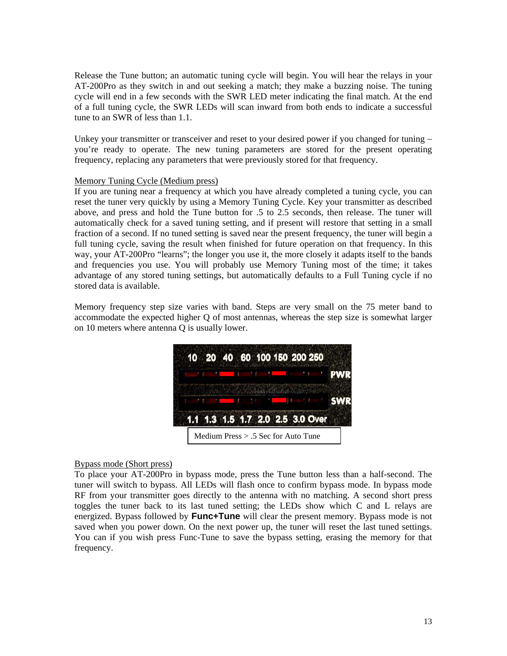Release the Tune button; an automatic tuning cycle will begin. You will hear the relays in your AT-200Pro as they switch in and out seeking a match; they make a buzzing noise. The tuning cycle will end in a few seconds with the SWR LED meter indicating the final match. At the end of a full tuning cycle, the SWR LEDs will scan inward from both ends to indicate a successful tune to an SWR of less than 1.1.

Unkey your transmitter or transceiver and reset to your desired power if you changed for tuning – you're ready to operate. The new tuning parameters are stored for the present operating frequency, replacing any parameters that were previously stored for that frequency.

#### Memory Tuning Cycle (Medium press)

If you are tuning near a frequency at which you have already completed a tuning cycle, you can reset the tuner very quickly by using a Memory Tuning Cycle. Key your transmitter as described above, and press and hold the Tune button for .5 to 2.5 seconds, then release. The tuner will automatically check for a saved tuning setting, and if present will restore that setting in a small fraction of a second. If no tuned setting is saved near the present frequency, the tuner will begin a full tuning cycle, saving the result when finished for future operation on that frequency. In this way, your AT-200Pro "learns"; the longer you use it, the more closely it adapts itself to the bands and frequencies you use. You will probably use Memory Tuning most of the time; it takes advantage of any stored tuning settings, but automatically defaults to a Full Tuning cycle if no stored data is available.

Memory frequency step size varies with band. Steps are very small on the 75 meter band to accommodate the expected higher Q of most antennas, whereas the step size is somewhat larger on 10 meters where antenna Q is usually lower.

|  |  |  | 10 20 40 60 100 150 200 250      |  |  |  |
|--|--|--|----------------------------------|--|--|--|
|  |  |  |                                  |  |  |  |
|  |  |  |                                  |  |  |  |
|  |  |  | 1.1 1.3 1.5 1.7 2.0 2.5 3.0 Over |  |  |  |

#### Bypass mode (Short press)

To place your AT-200Pro in bypass mode, press the Tune button less than a half-second. The tuner will switch to bypass. All LEDs will flash once to confirm bypass mode. In bypass mode RF from your transmitter goes directly to the antenna with no matching. A second short press toggles the tuner back to its last tuned setting; the LEDs show which C and L relays are energized. Bypass followed by **Func+Tune** will clear the present memory. Bypass mode is not saved when you power down. On the next power up, the tuner will reset the last tuned settings. You can if you wish press Func-Tune to save the bypass setting, erasing the memory for that frequency.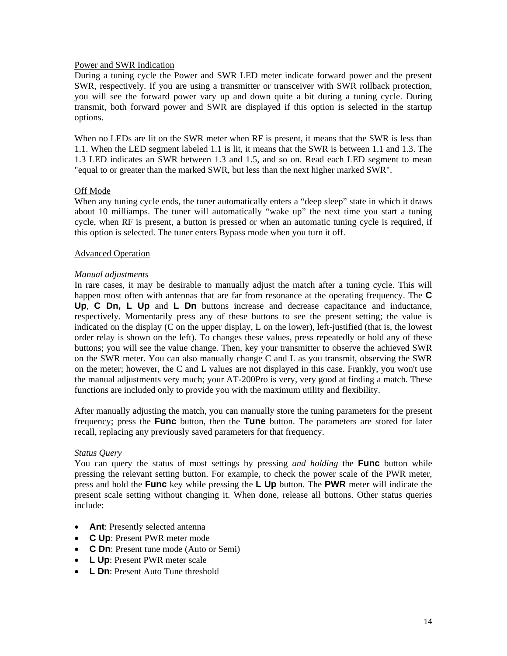#### Power and SWR Indication

During a tuning cycle the Power and SWR LED meter indicate forward power and the present SWR, respectively. If you are using a transmitter or transceiver with SWR rollback protection, you will see the forward power vary up and down quite a bit during a tuning cycle. During transmit, both forward power and SWR are displayed if this option is selected in the startup options.

When no LEDs are lit on the SWR meter when RF is present, it means that the SWR is less than 1.1. When the LED segment labeled 1.1 is lit, it means that the SWR is between 1.1 and 1.3. The 1.3 LED indicates an SWR between 1.3 and 1.5, and so on. Read each LED segment to mean "equal to or greater than the marked SWR, but less than the next higher marked SWR".

#### Off Mode

When any tuning cycle ends, the tuner automatically enters a "deep sleep" state in which it draws about 10 milliamps. The tuner will automatically "wake up" the next time you start a tuning cycle, when RF is present, a button is pressed or when an automatic tuning cycle is required, if this option is selected. The tuner enters Bypass mode when you turn it off.

#### Advanced Operation

#### *Manual adjustments*

In rare cases, it may be desirable to manually adjust the match after a tuning cycle. This will happen most often with antennas that are far from resonance at the operating frequency. The **C Up**, **C Dn, L Up** and **L Dn** buttons increase and decrease capacitance and inductance, respectively. Momentarily press any of these buttons to see the present setting; the value is indicated on the display (C on the upper display, L on the lower), left-justified (that is, the lowest order relay is shown on the left). To changes these values, press repeatedly or hold any of these buttons; you will see the value change. Then, key your transmitter to observe the achieved SWR on the SWR meter. You can also manually change C and L as you transmit, observing the SWR on the meter; however, the C and L values are not displayed in this case. Frankly, you won't use the manual adjustments very much; your AT-200Pro is very, very good at finding a match. These functions are included only to provide you with the maximum utility and flexibility.

After manually adjusting the match, you can manually store the tuning parameters for the present frequency; press the **Func** button, then the **Tune** button. The parameters are stored for later recall, replacing any previously saved parameters for that frequency.

#### *Status Query*

You can query the status of most settings by pressing *and holding* the **Func** button while pressing the relevant setting button. For example, to check the power scale of the PWR meter, press and hold the **Func** key while pressing the **L Up** button. The **PWR** meter will indicate the present scale setting without changing it. When done, release all buttons. Other status queries include:

- **Ant**: Presently selected antenna
- **C Up**: Present PWR meter mode
- **C Dn**: Present tune mode (Auto or Semi)
- **L Up**: Present PWR meter scale
- **L Dn**: Present Auto Tune threshold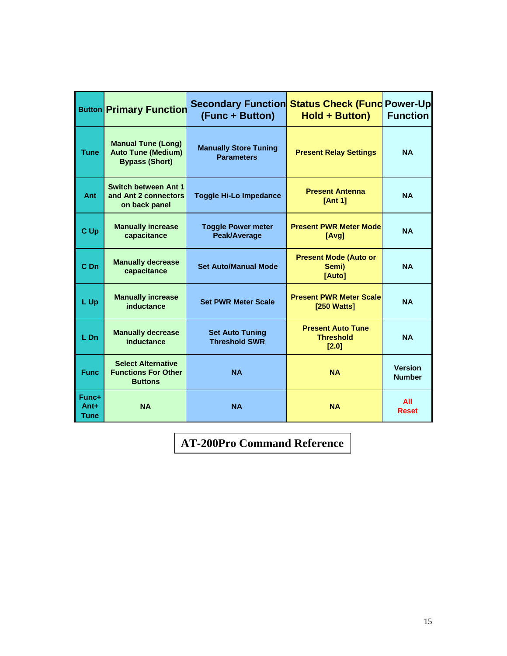|                       | <b>Button Primary Function</b>                                                  | <b>Secondary Function Status Check (Fund Power-Up</b><br>(Func + Button) | <b>Hold + Button)</b>                                 | <b>Function</b>                 |
|-----------------------|---------------------------------------------------------------------------------|--------------------------------------------------------------------------|-------------------------------------------------------|---------------------------------|
| <b>Tune</b>           | <b>Manual Tune (Long)</b><br><b>Auto Tune (Medium)</b><br><b>Bypass (Short)</b> | <b>Manually Store Tuning</b><br><b>Parameters</b>                        | <b>Present Relay Settings</b>                         | <b>NA</b>                       |
| Ant                   | <b>Switch between Ant 1</b><br>and Ant 2 connectors<br>on back panel            | <b>Toggle Hi-Lo Impedance</b>                                            | <b>Present Antenna</b><br>[Ant 1]                     | <b>NA</b>                       |
| C Up                  | <b>Manually increase</b><br>capacitance                                         | <b>Toggle Power meter</b><br>Peak/Average                                | <b>Present PWR Meter Mode</b><br>[Avg]                | <b>NA</b>                       |
| C Dn                  | <b>Manually decrease</b><br>capacitance                                         | <b>Set Auto/Manual Mode</b>                                              | <b>Present Mode (Auto or</b><br>Semi)<br>[Auto]       | <b>NA</b>                       |
| L Up                  | <b>Manually increase</b><br>inductance                                          | <b>Set PWR Meter Scale</b>                                               | <b>Present PWR Meter Scale</b><br>[250 Watts]         | <b>NA</b>                       |
| $L$ Dn                | <b>Manually decrease</b><br>inductance                                          | <b>Set Auto Tuning</b><br><b>Threshold SWR</b>                           | <b>Present Auto Tune</b><br><b>Threshold</b><br>[2.0] | <b>NA</b>                       |
| <b>Func</b>           | <b>Select Alternative</b><br><b>Functions For Other</b><br><b>Buttons</b>       | <b>NA</b>                                                                | <b>NA</b>                                             | <b>Version</b><br><b>Number</b> |
| Func+<br>Ant+<br>Tune | <b>NA</b>                                                                       | <b>NA</b>                                                                | <b>NA</b>                                             | All<br><b>Reset</b>             |

**AT-200Pro Command Reference**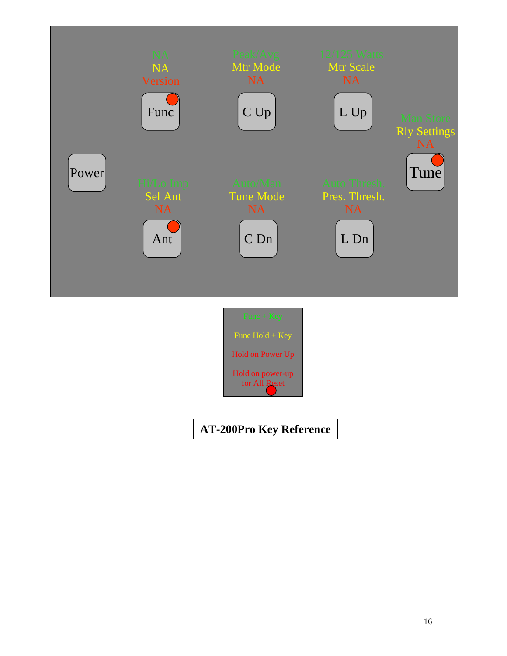



**AT-200Pro Key Reference**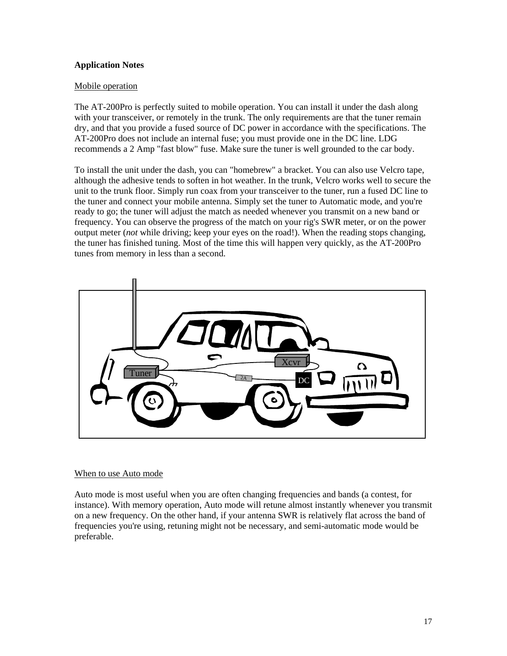#### **Application Notes**

#### Mobile operation

The AT-200Pro is perfectly suited to mobile operation. You can install it under the dash along with your transceiver, or remotely in the trunk. The only requirements are that the tuner remain dry, and that you provide a fused source of DC power in accordance with the specifications. The AT-200Pro does not include an internal fuse; you must provide one in the DC line. LDG recommends a 2 Amp "fast blow" fuse. Make sure the tuner is well grounded to the car body.

To install the unit under the dash, you can "homebrew" a bracket. You can also use Velcro tape, although the adhesive tends to soften in hot weather. In the trunk, Velcro works well to secure the unit to the trunk floor. Simply run coax from your transceiver to the tuner, run a fused DC line to the tuner and connect your mobile antenna. Simply set the tuner to Automatic mode, and you're ready to go; the tuner will adjust the match as needed whenever you transmit on a new band or frequency. You can observe the progress of the match on your rig's SWR meter, or on the power output meter (*not* while driving; keep your eyes on the road!). When the reading stops changing, the tuner has finished tuning. Most of the time this will happen very quickly, as the AT-200Pro tunes from memory in less than a second.



#### When to use Auto mode

Auto mode is most useful when you are often changing frequencies and bands (a contest, for instance). With memory operation, Auto mode will retune almost instantly whenever you transmit on a new frequency. On the other hand, if your antenna SWR is relatively flat across the band of frequencies you're using, retuning might not be necessary, and semi-automatic mode would be preferable.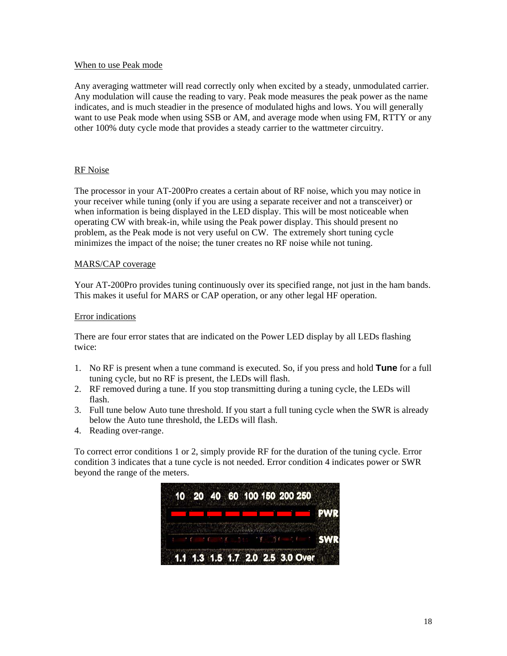#### When to use Peak mode

Any averaging wattmeter will read correctly only when excited by a steady, unmodulated carrier. Any modulation will cause the reading to vary. Peak mode measures the peak power as the name indicates, and is much steadier in the presence of modulated highs and lows. You will generally want to use Peak mode when using SSB or AM, and average mode when using FM, RTTY or any other 100% duty cycle mode that provides a steady carrier to the wattmeter circuitry.

#### RF Noise

The processor in your AT-200Pro creates a certain about of RF noise, which you may notice in your receiver while tuning (only if you are using a separate receiver and not a transceiver) or when information is being displayed in the LED display. This will be most noticeable when operating CW with break-in, while using the Peak power display. This should present no problem, as the Peak mode is not very useful on CW. The extremely short tuning cycle minimizes the impact of the noise; the tuner creates no RF noise while not tuning.

#### MARS/CAP coverage

Your AT-200Pro provides tuning continuously over its specified range, not just in the ham bands. This makes it useful for MARS or CAP operation, or any other legal HF operation.

#### Error indications

There are four error states that are indicated on the Power LED display by all LEDs flashing twice:

- 1. No RF is present when a tune command is executed. So, if you press and hold **Tune** for a full tuning cycle, but no RF is present, the LEDs will flash.
- 2. RF removed during a tune. If you stop transmitting during a tuning cycle, the LEDs will flash.
- 3. Full tune below Auto tune threshold. If you start a full tuning cycle when the SWR is already below the Auto tune threshold, the LEDs will flash.
- 4. Reading over-range.

To correct error conditions 1 or 2, simply provide RF for the duration of the tuning cycle. Error condition 3 indicates that a tune cycle is not needed. Error condition 4 indicates power or SWR beyond the range of the meters.

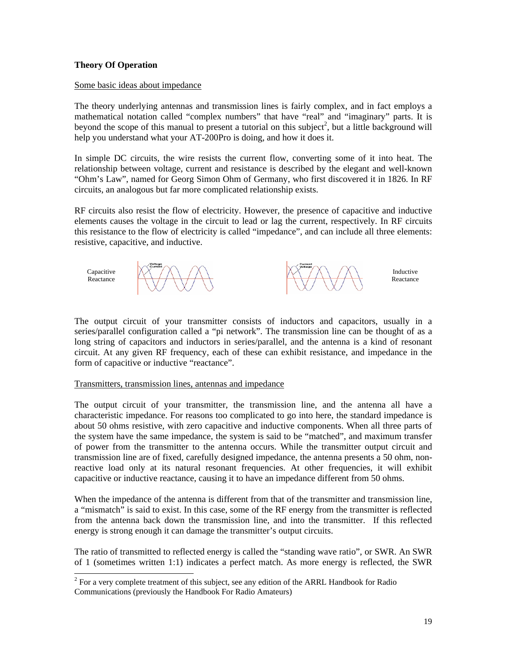#### **Theory Of Operation**

 $\overline{\phantom{a}}$ 

#### Some basic ideas about impedance

The theory underlying antennas and transmission lines is fairly complex, and in fact employs a mathematical notation called "complex numbers" that have "real" and "imaginary" parts. It is beyond the scope of this manual to present a tutorial on this subject<sup>2</sup>, but a little background will help you understand what your AT-200Pro is doing, and how it does it.

In simple DC circuits, the wire resists the current flow, converting some of it into heat. The relationship between voltage, current and resistance is described by the elegant and well-known "Ohm's Law", named for Georg Simon Ohm of Germany, who first discovered it in 1826. In RF circuits, an analogous but far more complicated relationship exists.

RF circuits also resist the flow of electricity. However, the presence of capacitive and inductive elements causes the voltage in the circuit to lead or lag the current, respectively. In RF circuits this resistance to the flow of electricity is called "impedance", and can include all three elements: resistive, capacitive, and inductive.



The output circuit of your transmitter consists of inductors and capacitors, usually in a series/parallel configuration called a "pi network". The transmission line can be thought of as a long string of capacitors and inductors in series/parallel, and the antenna is a kind of resonant circuit. At any given RF frequency, each of these can exhibit resistance, and impedance in the form of capacitive or inductive "reactance".

#### Transmitters, transmission lines, antennas and impedance

The output circuit of your transmitter, the transmission line, and the antenna all have a characteristic impedance. For reasons too complicated to go into here, the standard impedance is about 50 ohms resistive, with zero capacitive and inductive components. When all three parts of the system have the same impedance, the system is said to be "matched", and maximum transfer of power from the transmitter to the antenna occurs. While the transmitter output circuit and transmission line are of fixed, carefully designed impedance, the antenna presents a 50 ohm, nonreactive load only at its natural resonant frequencies. At other frequencies, it will exhibit capacitive or inductive reactance, causing it to have an impedance different from 50 ohms.

When the impedance of the antenna is different from that of the transmitter and transmission line, a "mismatch" is said to exist. In this case, some of the RF energy from the transmitter is reflected from the antenna back down the transmission line, and into the transmitter. If this reflected energy is strong enough it can damage the transmitter's output circuits.

The ratio of transmitted to reflected energy is called the "standing wave ratio", or SWR. An SWR of 1 (sometimes written 1:1) indicates a perfect match. As more energy is reflected, the SWR

 $2^2$  For a very complete treatment of this subject, see any edition of the ARRL Handbook for Radio Communications (previously the Handbook For Radio Amateurs)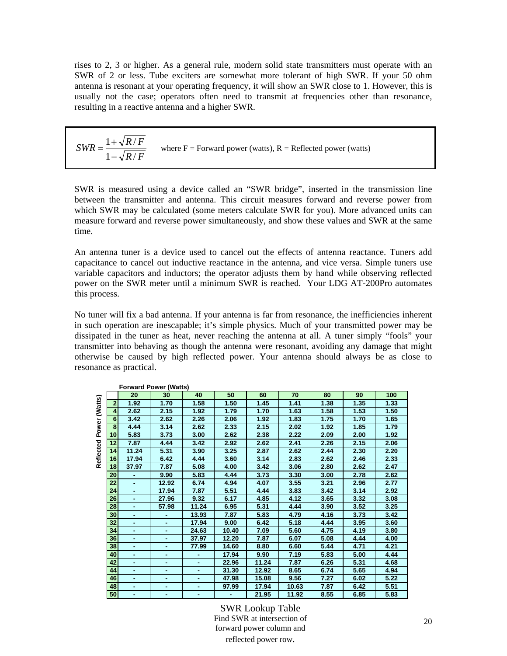rises to 2, 3 or higher. As a general rule, modern solid state transmitters must operate with an SWR of 2 or less. Tube exciters are somewhat more tolerant of high SWR. If your 50 ohm antenna is resonant at your operating frequency, it will show an SWR close to 1. However, this is usually not the case; operators often need to transmit at frequencies other than resonance, resulting in a reactive antenna and a higher SWR.

| $SWR = \frac{1 + \sqrt{R/F}}{F}$<br>$1-\sqrt{R/F}$ | where $F =$ Forward power (watts), $R =$ Reflected power (watts) |
|----------------------------------------------------|------------------------------------------------------------------|
|----------------------------------------------------|------------------------------------------------------------------|

SWR is measured using a device called an "SWR bridge", inserted in the transmission line between the transmitter and antenna. This circuit measures forward and reverse power from which SWR may be calculated (some meters calculate SWR for you). More advanced units can measure forward and reverse power simultaneously, and show these values and SWR at the same time.

An antenna tuner is a device used to cancel out the effects of antenna reactance. Tuners add capacitance to cancel out inductive reactance in the antenna, and vice versa. Simple tuners use variable capacitors and inductors; the operator adjusts them by hand while observing reflected power on the SWR meter until a minimum SWR is reached. Your LDG AT-200Pro automates this process.

No tuner will fix a bad antenna. If your antenna is far from resonance, the inefficiencies inherent in such operation are inescapable; it's simple physics. Much of your transmitted power may be dissipated in the tuner as heat, never reaching the antenna at all. A tuner simply "fools" your transmitter into behaving as though the antenna were resonant, avoiding any damage that might otherwise be caused by high reflected power. Your antenna should always be as close to resonance as practical.

|           |                |                | <b>Forward Power (Watts)</b> |                |       |       |       |      |      |      |
|-----------|----------------|----------------|------------------------------|----------------|-------|-------|-------|------|------|------|
|           |                | 20             | 30                           | 40             | 50    | 60    | 70    | 80   | 90   | 100  |
|           | $\overline{2}$ | 1.92           | 1.70                         | 1.58           | 1.50  | 1.45  | 1.41  | 1.38 | 1.35 | 1.33 |
| (Watts)   | 4              | 2.62           | 2.15                         | 1.92           | 1.79  | 1.70  | 1.63  | 1.58 | 1.53 | 1.50 |
|           | 6              | 3.42           | 2.62                         | 2.26           | 2.06  | 1.92  | 1.83  | 1.75 | 1.70 | 1.65 |
| Power     | 8              | 4.44           | 3.14                         | 2.62           | 2.33  | 2.15  | 2.02  | 1.92 | 1.85 | 1.79 |
|           | 10             | 5.83           | 3.73                         | 3.00           | 2.62  | 2.38  | 2.22  | 2.09 | 2.00 | 1.92 |
|           | 12             | 7.87           | 4.44                         | 3.42           | 2.92  | 2.62  | 2.41  | 2.26 | 2.15 | 2.06 |
|           | 14             | 11.24          | 5.31                         | 3.90           | 3.25  | 2.87  | 2.62  | 2.44 | 2.30 | 2.20 |
| Reflected | 16             | 17.94          | 6.42                         | 4.44           | 3.60  | 3.14  | 2.83  | 2.62 | 2.46 | 2.33 |
|           | 18             | 37.97          | 7.87                         | 5.08           | 4.00  | 3.42  | 3.06  | 2.80 | 2.62 | 2.47 |
|           | 20             | $\blacksquare$ | 9.90                         | 5.83           | 4.44  | 3.73  | 3.30  | 3.00 | 2.78 | 2.62 |
|           | 22             | $\blacksquare$ | 12.92                        | 6.74           | 4.94  | 4.07  | 3.55  | 3.21 | 2.96 | 2.77 |
|           | 24             | ۰              | 17.94                        | 7.87           | 5.51  | 4.44  | 3.83  | 3.42 | 3.14 | 2.92 |
|           | 26             |                | 27.96                        | 9.32           | 6.17  | 4.85  | 4.12  | 3.65 | 3.32 | 3.08 |
|           | 28             |                | 57.98                        | 11.24          | 6.95  | 5.31  | 4.44  | 3.90 | 3.52 | 3.25 |
|           | 30             | $\blacksquare$ |                              | 13.93          | 7.87  | 5.83  | 4.79  | 4.16 | 3.73 | 3.42 |
|           | 32             | ۰              | ۰                            | 17.94          | 9.00  | 6.42  | 5.18  | 4.44 | 3.95 | 3.60 |
|           | 34             |                | ۰                            | 24.63          | 10.40 | 7.09  | 5.60  | 4.75 | 4.19 | 3.80 |
|           | 36             | ۰              | ٠                            | 37.97          | 12.20 | 7.87  | 6.07  | 5.08 | 4.44 | 4.00 |
|           | 38             | ۰              | ۰                            | 77.99          | 14.60 | 8.80  | 6.60  | 5.44 | 4.71 | 4.21 |
|           | 40             | ٠              | ۰                            |                | 17.94 | 9.90  | 7.19  | 5.83 | 5.00 | 4.44 |
|           | 42             | ۰              | ٠                            | $\blacksquare$ | 22.96 | 11.24 | 7.87  | 6.26 | 5.31 | 4.68 |
|           | 44             | ٠              | ٠                            | ٠              | 31.30 | 12.92 | 8.65  | 6.74 | 5.65 | 4.94 |
|           | 46             | ۰              | ۰                            |                | 47.98 | 15.08 | 9.56  | 7.27 | 6.02 | 5.22 |
|           | 48             |                |                              |                | 97.99 | 17.94 | 10.63 | 7.87 | 6.42 | 5.51 |
|           | 50             |                |                              |                |       | 21.95 | 11.92 | 8.55 | 6.85 | 5.83 |

SWR Lookup Table Find SWR at intersection of forward power column and reflected power row.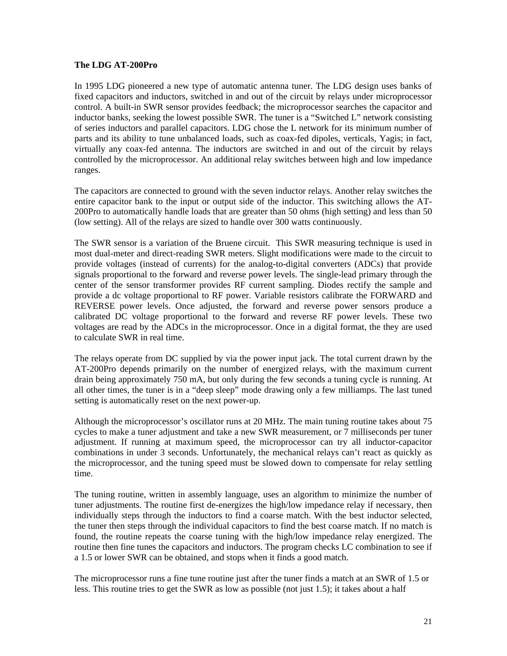#### **The LDG AT-200Pro**

In 1995 LDG pioneered a new type of automatic antenna tuner. The LDG design uses banks of fixed capacitors and inductors, switched in and out of the circuit by relays under microprocessor control. A built-in SWR sensor provides feedback; the microprocessor searches the capacitor and inductor banks, seeking the lowest possible SWR. The tuner is a "Switched L" network consisting of series inductors and parallel capacitors. LDG chose the L network for its minimum number of parts and its ability to tune unbalanced loads, such as coax-fed dipoles, verticals, Yagis; in fact, virtually any coax-fed antenna. The inductors are switched in and out of the circuit by relays controlled by the microprocessor. An additional relay switches between high and low impedance ranges.

The capacitors are connected to ground with the seven inductor relays. Another relay switches the entire capacitor bank to the input or output side of the inductor. This switching allows the AT-200Pro to automatically handle loads that are greater than 50 ohms (high setting) and less than 50 (low setting). All of the relays are sized to handle over 300 watts continuously.

The SWR sensor is a variation of the Bruene circuit. This SWR measuring technique is used in most dual-meter and direct-reading SWR meters. Slight modifications were made to the circuit to provide voltages (instead of currents) for the analog-to-digital converters (ADCs) that provide signals proportional to the forward and reverse power levels. The single-lead primary through the center of the sensor transformer provides RF current sampling. Diodes rectify the sample and provide a dc voltage proportional to RF power. Variable resistors calibrate the FORWARD and REVERSE power levels. Once adjusted, the forward and reverse power sensors produce a calibrated DC voltage proportional to the forward and reverse RF power levels. These two voltages are read by the ADCs in the microprocessor. Once in a digital format, the they are used to calculate SWR in real time.

The relays operate from DC supplied by via the power input jack. The total current drawn by the AT-200Pro depends primarily on the number of energized relays, with the maximum current drain being approximately 750 mA, but only during the few seconds a tuning cycle is running. At all other times, the tuner is in a "deep sleep" mode drawing only a few milliamps. The last tuned setting is automatically reset on the next power-up.

Although the microprocessor's oscillator runs at 20 MHz. The main tuning routine takes about 75 cycles to make a tuner adjustment and take a new SWR measurement, or 7 milliseconds per tuner adjustment. If running at maximum speed, the microprocessor can try all inductor-capacitor combinations in under 3 seconds. Unfortunately, the mechanical relays can't react as quickly as the microprocessor, and the tuning speed must be slowed down to compensate for relay settling time.

The tuning routine, written in assembly language, uses an algorithm to minimize the number of tuner adjustments. The routine first de-energizes the high/low impedance relay if necessary, then individually steps through the inductors to find a coarse match. With the best inductor selected, the tuner then steps through the individual capacitors to find the best coarse match. If no match is found, the routine repeats the coarse tuning with the high/low impedance relay energized. The routine then fine tunes the capacitors and inductors. The program checks LC combination to see if a 1.5 or lower SWR can be obtained, and stops when it finds a good match.

The microprocessor runs a fine tune routine just after the tuner finds a match at an SWR of 1.5 or less. This routine tries to get the SWR as low as possible (not just 1.5); it takes about a half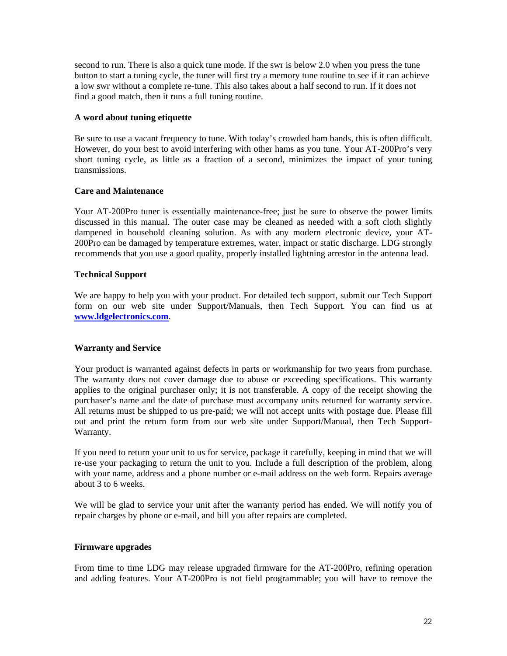second to run. There is also a quick tune mode. If the swr is below 2.0 when you press the tune button to start a tuning cycle, the tuner will first try a memory tune routine to see if it can achieve a low swr without a complete re-tune. This also takes about a half second to run. If it does not find a good match, then it runs a full tuning routine.

#### **A word about tuning etiquette**

Be sure to use a vacant frequency to tune. With today's crowded ham bands, this is often difficult. However, do your best to avoid interfering with other hams as you tune. Your AT-200Pro's very short tuning cycle, as little as a fraction of a second, minimizes the impact of your tuning transmissions.

#### **Care and Maintenance**

Your AT-200Pro tuner is essentially maintenance-free; just be sure to observe the power limits discussed in this manual. The outer case may be cleaned as needed with a soft cloth slightly dampened in household cleaning solution. As with any modern electronic device, your AT-200Pro can be damaged by temperature extremes, water, impact or static discharge. LDG strongly recommends that you use a good quality, properly installed lightning arrestor in the antenna lead.

#### **Technical Support**

We are happy to help you with your product. For detailed tech support, submit our Tech Support form on our web site under Support/Manuals, then Tech Support. You can find us at **www.ldgelectronics.com**.

#### **Warranty and Service**

Your product is warranted against defects in parts or workmanship for two years from purchase. The warranty does not cover damage due to abuse or exceeding specifications. This warranty applies to the original purchaser only; it is not transferable. A copy of the receipt showing the purchaser's name and the date of purchase must accompany units returned for warranty service. All returns must be shipped to us pre-paid; we will not accept units with postage due. Please fill out and print the return form from our web site under Support/Manual, then Tech Support-Warranty.

If you need to return your unit to us for service, package it carefully, keeping in mind that we will re-use your packaging to return the unit to you. Include a full description of the problem, along with your name, address and a phone number or e-mail address on the web form. Repairs average about 3 to 6 weeks.

We will be glad to service your unit after the warranty period has ended. We will notify you of repair charges by phone or e-mail, and bill you after repairs are completed.

#### **Firmware upgrades**

From time to time LDG may release upgraded firmware for the AT-200Pro, refining operation and adding features. Your AT-200Pro is not field programmable; you will have to remove the